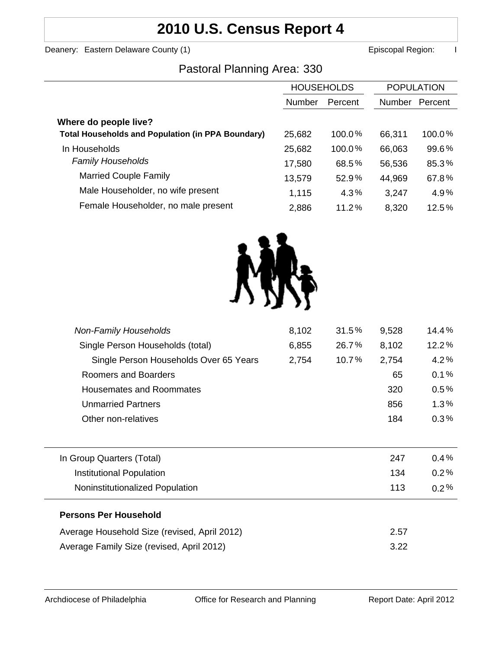# **2010 U.S. Census Report 4**

Deanery: Eastern Delaware County (1) **Example 2 and County County County County County County County County County County County County County County County County County County County County County County County County Co** 

### Pastoral Planning Area: 330

|                                                          | <b>HOUSEHOLDS</b> |           | <b>POPULATION</b> |         |
|----------------------------------------------------------|-------------------|-----------|-------------------|---------|
|                                                          | Number            | Percent   | Number            | Percent |
| Where do people live?                                    |                   |           |                   |         |
| <b>Total Households and Population (in PPA Boundary)</b> | 25,682            | $100.0\%$ | 66,311            | 100.0%  |
| In Households                                            | 25,682            | 100.0%    | 66,063            | 99.6%   |
| <b>Family Households</b>                                 | 17,580            | 68.5%     | 56,536            | 85.3%   |
| <b>Married Couple Family</b>                             | 13,579            | 52.9%     | 44,969            | 67.8%   |
| Male Householder, no wife present                        | 1,115             | 4.3%      | 3,247             | 4.9%    |
| Female Householder, no male present                      | 2,886             | 11.2%     | 8,320             | 12.5%   |



| <b>Non-Family Households</b>                 | 8,102 | 31.5% | 9,528 | 14.4%   |
|----------------------------------------------|-------|-------|-------|---------|
| Single Person Households (total)             | 6,855 | 26.7% | 8,102 | 12.2%   |
| Single Person Households Over 65 Years       | 2,754 | 10.7% | 2,754 | 4.2%    |
| Roomers and Boarders                         |       |       | 65    | 0.1%    |
| <b>Housemates and Roommates</b>              |       |       | 320   | 0.5%    |
| <b>Unmarried Partners</b>                    |       |       | 856   | 1.3%    |
| Other non-relatives                          |       |       | 184   | 0.3%    |
|                                              |       |       |       |         |
| In Group Quarters (Total)                    |       |       | 247   | 0.4%    |
| <b>Institutional Population</b>              |       |       | 134   | 0.2%    |
| Noninstitutionalized Population              |       |       | 113   | $0.2\%$ |
| <b>Persons Per Household</b>                 |       |       |       |         |
| Average Household Size (revised, April 2012) |       |       | 2.57  |         |
| Average Family Size (revised, April 2012)    |       |       | 3.22  |         |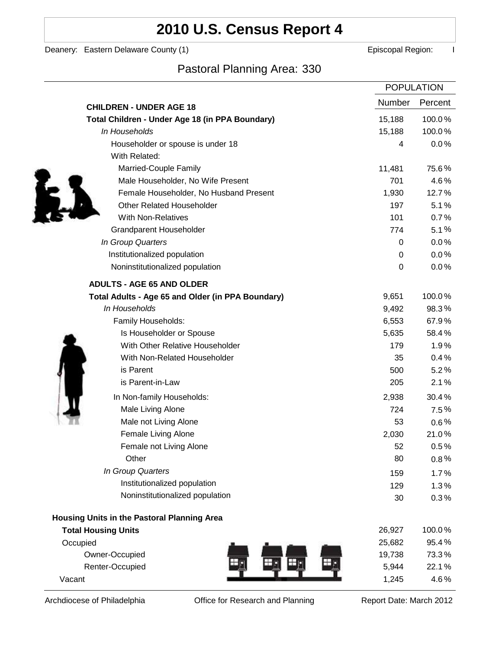## **2010 U.S. Census Report 4**

Deanery: Eastern Delaware County (1) **Example 2** Episcopal Region: I

## Pastoral Planning Area: 330

|                                                   | <b>POPULATION</b> |         |
|---------------------------------------------------|-------------------|---------|
| <b>CHILDREN - UNDER AGE 18</b>                    | Number            | Percent |
| Total Children - Under Age 18 (in PPA Boundary)   | 15,188            | 100.0%  |
| In Households                                     | 15,188            | 100.0%  |
| Householder or spouse is under 18                 | 4                 | 0.0%    |
| With Related:                                     |                   |         |
| Married-Couple Family                             | 11,481            | 75.6%   |
| Male Householder, No Wife Present                 | 701               | 4.6%    |
| Female Householder, No Husband Present            | 1,930             | 12.7%   |
| <b>Other Related Householder</b>                  | 197               | 5.1%    |
| With Non-Relatives                                | 101               | 0.7%    |
| Grandparent Householder                           | 774               | 5.1%    |
| In Group Quarters                                 | 0                 | 0.0%    |
| Institutionalized population                      | 0                 | 0.0%    |
| Noninstitutionalized population                   | 0                 | 0.0%    |
| <b>ADULTS - AGE 65 AND OLDER</b>                  |                   |         |
| Total Adults - Age 65 and Older (in PPA Boundary) | 9,651             | 100.0%  |
| In Households                                     | 9,492             | 98.3%   |
| Family Households:                                | 6,553             | 67.9%   |
| Is Householder or Spouse                          | 5,635             | 58.4%   |
| With Other Relative Householder                   | 179               | 1.9%    |
| With Non-Related Householder                      | 35                | 0.4%    |
| is Parent                                         | 500               | 5.2%    |
| is Parent-in-Law                                  | 205               | 2.1%    |
| In Non-family Households:                         | 2,938             | 30.4%   |
| Male Living Alone                                 | 724               | 7.5%    |
| Male not Living Alone                             | 53                | $0.6\%$ |
| Female Living Alone                               | 2,030             | 21.0%   |
| Female not Living Alone                           | 52                | 0.5%    |
| Other                                             | 80                | $0.8\%$ |
| In Group Quarters                                 | 159               | 1.7%    |
| Institutionalized population                      | 129               | 1.3%    |
| Noninstitutionalized population                   | 30                | 0.3%    |
| Housing Units in the Pastoral Planning Area       |                   |         |
| <b>Total Housing Units</b>                        | 26,927            | 100.0%  |
| Occupied                                          | 25,682            | 95.4%   |
| Owner-Occupied                                    | 19,738            | 73.3%   |
| Renter-Occupied                                   | 5,944             | 22.1%   |
| Vacant                                            | 1,245             | 4.6%    |

Archdiocese of Philadelphia **Office for Research and Planning** Report Date: March 2012